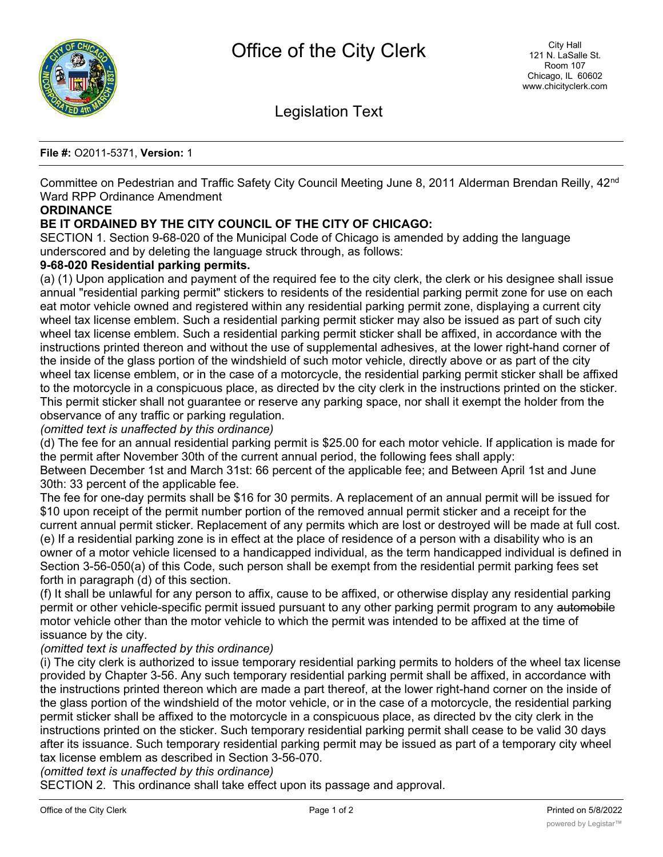

Legislation Text

#### **File #:** O2011-5371, **Version:** 1

Committee on Pedestrian and Traffic Safety City Council Meeting June 8, 2011 Alderman Brendan Reilly, 42<sup>nd</sup> Ward RPP Ordinance Amendment

## **ORDINANCE**

# **BE IT ORDAINED BY THE CITY COUNCIL OF THE CITY OF CHICAGO:**

SECTION 1. Section 9-68-020 of the Municipal Code of Chicago is amended by adding the language underscored and by deleting the language struck through, as follows:

### **9-68-020 Residential parking permits.**

(a) (1) Upon application and payment of the required fee to the city clerk, the clerk or his designee shall issue annual "residential parking permit" stickers to residents of the residential parking permit zone for use on each eat motor vehicle owned and registered within any residential parking permit zone, displaying a current city wheel tax license emblem. Such a residential parking permit sticker may also be issued as part of such city wheel tax license emblem. Such a residential parking permit sticker shall be affixed, in accordance with the instructions printed thereon and without the use of supplemental adhesives, at the lower right-hand corner of the inside of the glass portion of the windshield of such motor vehicle, directly above or as part of the city wheel tax license emblem, or in the case of a motorcycle, the residential parking permit sticker shall be affixed to the motorcycle in a conspicuous place, as directed bv the city clerk in the instructions printed on the sticker. This permit sticker shall not guarantee or reserve any parking space, nor shall it exempt the holder from the observance of any traffic or parking regulation.

#### *(omitted text is unaffected by this ordinance)*

(d) The fee for an annual residential parking permit is \$25.00 for each motor vehicle. If application is made for the permit after November 30th of the current annual period, the following fees shall apply: Between December 1st and March 31st: 66 percent of the applicable fee; and Between April 1st and June

#### 30th: 33 percent of the applicable fee.

The fee for one-day permits shall be \$16 for 30 permits. A replacement of an annual permit will be issued for \$10 upon receipt of the permit number portion of the removed annual permit sticker and a receipt for the current annual permit sticker. Replacement of any permits which are lost or destroyed will be made at full cost. (e) If a residential parking zone is in effect at the place of residence of a person with a disability who is an owner of a motor vehicle licensed to a handicapped individual, as the term handicapped individual is defined in Section 3-56-050(a) of this Code, such person shall be exempt from the residential permit parking fees set forth in paragraph (d) of this section.

(f) It shall be unlawful for any person to affix, cause to be affixed, or otherwise display any residential parking permit or other vehicle-specific permit issued pursuant to any other parking permit program to any automobile motor vehicle other than the motor vehicle to which the permit was intended to be affixed at the time of issuance by the city.

### *(omitted text is unaffected by this ordinance)*

(i) The city clerk is authorized to issue temporary residential parking permits to holders of the wheel tax license provided by Chapter 3-56. Any such temporary residential parking permit shall be affixed, in accordance with the instructions printed thereon which are made a part thereof, at the lower right-hand corner on the inside of the glass portion of the windshield of the motor vehicle, or in the case of a motorcycle, the residential parking permit sticker shall be affixed to the motorcycle in a conspicuous place, as directed bv the city clerk in the instructions printed on the sticker. Such temporary residential parking permit shall cease to be valid 30 days after its issuance. Such temporary residential parking permit may be issued as part of a temporary city wheel tax license emblem as described in Section 3-56-070.

*(omitted text is unaffected by this ordinance)*

SECTION 2. This ordinance shall take effect upon its passage and approval.